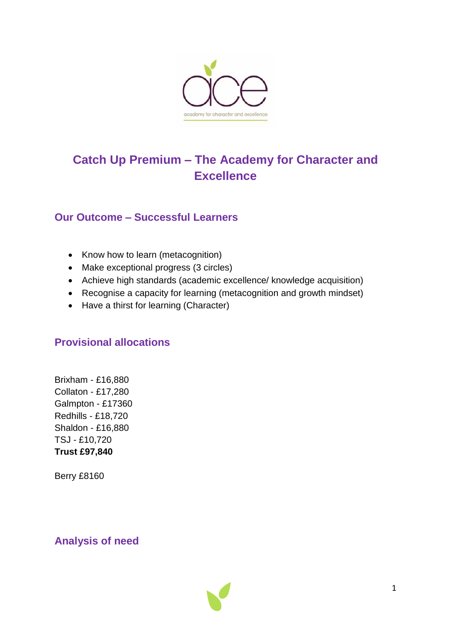

# **Catch Up Premium – The Academy for Character and Excellence**

## **Our Outcome – Successful Learners**

- Know how to learn (metacognition)
- Make exceptional progress (3 circles)
- Achieve high standards (academic excellence/ knowledge acquisition)
- Recognise a capacity for learning (metacognition and growth mindset)
- Have a thirst for learning (Character)

## **Provisional allocations**

Brixham - £16,880 Collaton - £17,280 Galmpton - £17360 Redhills - £18,720 Shaldon - £16,880 TSJ - £10,720 **Trust £97,840**

Berry £8160

## **Analysis of need**

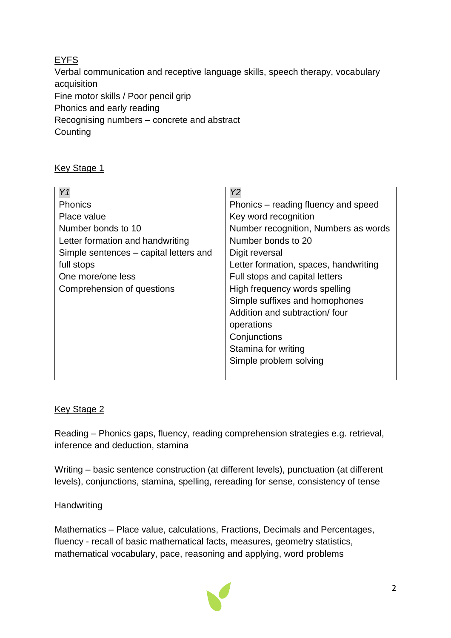## **EYFS**

Verbal communication and receptive language skills, speech therapy, vocabulary acquisition Fine motor skills / Poor pencil grip Phonics and early reading Recognising numbers – concrete and abstract **Counting** 

## **Key Stage 1**

| Y1                                     | Y2                                    |
|----------------------------------------|---------------------------------------|
| <b>Phonics</b>                         | Phonics – reading fluency and speed   |
| Place value                            | Key word recognition                  |
| Number bonds to 10                     | Number recognition, Numbers as words  |
| Letter formation and handwriting       | Number bonds to 20                    |
| Simple sentences – capital letters and | Digit reversal                        |
| full stops                             | Letter formation, spaces, handwriting |
| One more/one less                      | Full stops and capital letters        |
| Comprehension of questions             | High frequency words spelling         |
|                                        | Simple suffixes and homophones        |
|                                        | Addition and subtraction/four         |
|                                        | operations                            |
|                                        | Conjunctions                          |
|                                        | Stamina for writing                   |
|                                        | Simple problem solving                |
|                                        |                                       |

### Key Stage 2

Reading – Phonics gaps, fluency, reading comprehension strategies e.g. retrieval, inference and deduction, stamina

Writing – basic sentence construction (at different levels), punctuation (at different levels), conjunctions, stamina, spelling, rereading for sense, consistency of tense

### **Handwriting**

Mathematics – Place value, calculations, Fractions, Decimals and Percentages, fluency - recall of basic mathematical facts, measures, geometry statistics, mathematical vocabulary, pace, reasoning and applying, word problems

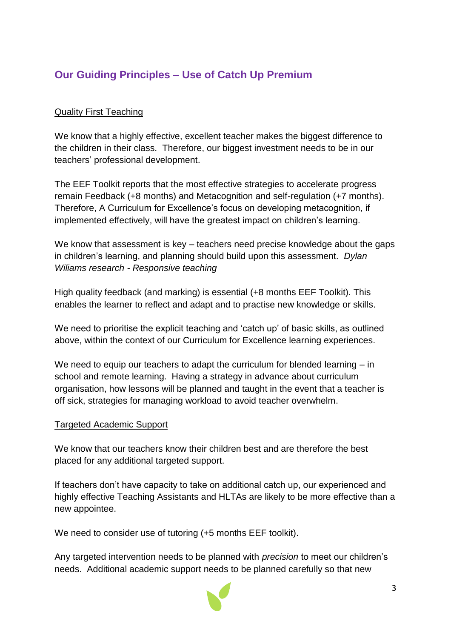## **Our Guiding Principles – Use of Catch Up Premium**

## Quality First Teaching

We know that a highly effective, excellent teacher makes the biggest difference to the children in their class. Therefore, our biggest investment needs to be in our teachers' professional development.

The EEF Toolkit reports that the most effective strategies to accelerate progress remain Feedback (+8 months) and Metacognition and self-regulation (+7 months). Therefore, A Curriculum for Excellence's focus on developing metacognition, if implemented effectively, will have the greatest impact on children's learning.

We know that assessment is key – teachers need precise knowledge about the gaps in children's learning, and planning should build upon this assessment. *Dylan Wiliams research - Responsive teaching*

High quality feedback (and marking) is essential (+8 months EEF Toolkit). This enables the learner to reflect and adapt and to practise new knowledge or skills.

We need to prioritise the explicit teaching and 'catch up' of basic skills, as outlined above, within the context of our Curriculum for Excellence learning experiences.

We need to equip our teachers to adapt the curriculum for blended learning – in school and remote learning. Having a strategy in advance about curriculum organisation, how lessons will be planned and taught in the event that a teacher is off sick, strategies for managing workload to avoid teacher overwhelm.

### Targeted Academic Support

We know that our teachers know their children best and are therefore the best placed for any additional targeted support.

If teachers don't have capacity to take on additional catch up, our experienced and highly effective Teaching Assistants and HLTAs are likely to be more effective than a new appointee.

We need to consider use of tutoring (+5 months EEF toolkit).

Any targeted intervention needs to be planned with *precision* to meet our children's needs. Additional academic support needs to be planned carefully so that new

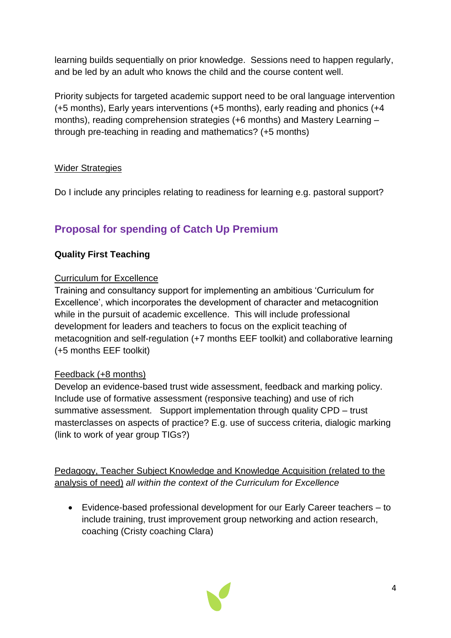learning builds sequentially on prior knowledge. Sessions need to happen regularly, and be led by an adult who knows the child and the course content well.

Priority subjects for targeted academic support need to be oral language intervention (+5 months), Early years interventions (+5 months), early reading and phonics (+4 months), reading comprehension strategies (+6 months) and Mastery Learning – through pre-teaching in reading and mathematics? (+5 months)

## Wider Strategies

Do I include any principles relating to readiness for learning e.g. pastoral support?

## **Proposal for spending of Catch Up Premium**

## **Quality First Teaching**

### Curriculum for Excellence

Training and consultancy support for implementing an ambitious 'Curriculum for Excellence', which incorporates the development of character and metacognition while in the pursuit of academic excellence. This will include professional development for leaders and teachers to focus on the explicit teaching of metacognition and self-regulation (+7 months EEF toolkit) and collaborative learning (+5 months EEF toolkit)

### Feedback (+8 months)

Develop an evidence-based trust wide assessment, feedback and marking policy. Include use of formative assessment (responsive teaching) and use of rich summative assessment. Support implementation through quality CPD – trust masterclasses on aspects of practice? E.g. use of success criteria, dialogic marking (link to work of year group TIGs?)

Pedagogy, Teacher Subject Knowledge and Knowledge Acquisition (related to the analysis of need) *all within the context of the Curriculum for Excellence*

 Evidence-based professional development for our Early Career teachers – to include training, trust improvement group networking and action research, coaching (Cristy coaching Clara)

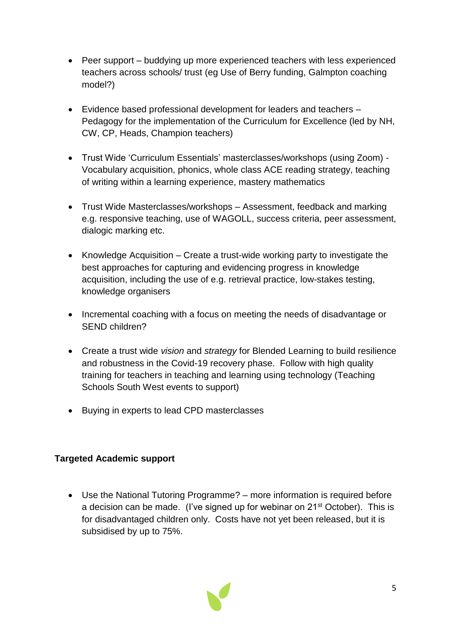- Peer support buddying up more experienced teachers with less experienced teachers across schools/ trust (eg Use of Berry funding, Galmpton coaching model?)
- Evidence based professional development for leaders and teachers Pedagogy for the implementation of the Curriculum for Excellence (led by NH, CW, CP, Heads, Champion teachers)
- Trust Wide 'Curriculum Essentials' masterclasses/workshops (using Zoom) Vocabulary acquisition, phonics, whole class ACE reading strategy, teaching of writing within a learning experience, mastery mathematics
- Trust Wide Masterclasses/workshops Assessment, feedback and marking e.g. responsive teaching, use of WAGOLL, success criteria, peer assessment, dialogic marking etc.
- Knowledge Acquisition Create a trust-wide working party to investigate the best approaches for capturing and evidencing progress in knowledge acquisition, including the use of e.g. retrieval practice, low-stakes testing, knowledge organisers
- Incremental coaching with a focus on meeting the needs of disadvantage or SEND children?
- Create a trust wide *vision* and *strategy* for Blended Learning to build resilience and robustness in the Covid-19 recovery phase. Follow with high quality training for teachers in teaching and learning using technology (Teaching Schools South West events to support)
- Buying in experts to lead CPD masterclasses

### **Targeted Academic support**

 Use the National Tutoring Programme? – more information is required before a decision can be made. (I've signed up for webinar on 21<sup>st</sup> October). This is for disadvantaged children only. Costs have not yet been released, but it is subsidised by up to 75%.